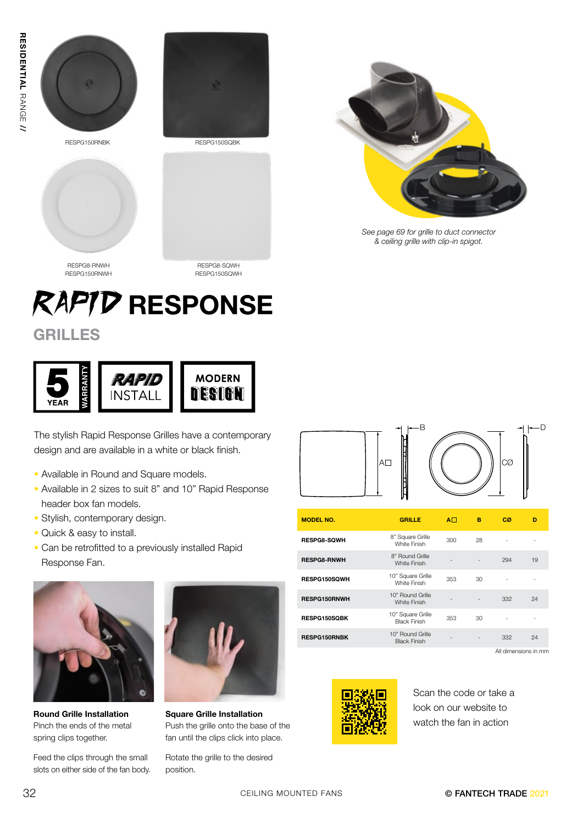





*See page 69 for grille to duct connector & ceiling grille with clip-in spigot.*

RESPG8-RNWH RESPG150RNWH

RESPG8-SQWH RESPG150SQWH

## RAPID RESPONSE

### **GRILLES**



The stylish Rapid Response Grilles have a contemporary design and are available in a white or black finish.

- Available in Round and Square models.
- Available in 2 sizes to suit 8" and 10" Rapid Response header box fan models.
- Stylish, contemporary design.
- Quick & easy to install.
- Can be retrofitted to a previously installed Rapid Response Fan.



Round Grille Installation Pinch the ends of the metal spring clips together.

Feed the clips through the small slots on either side of the fan body.



Square Grille Installation Push the grille onto the base of the fan until the clips click into place.

Rotate the grille to the desired position.



| <b>MODEL NO.</b>    | <b>GRILLE</b>                            | $A \Box$ | в  | СØ  | D  |
|---------------------|------------------------------------------|----------|----|-----|----|
| <b>RESPG8-SQWH</b>  | 8" Square Grille<br>White Finish         | 300      | 28 |     |    |
| <b>RESPG8-RNWH</b>  | 8" Round Grille<br><b>White Finish</b>   |          |    | 294 | 19 |
| RESPG150SQWH        | 10" Square Grille<br>White Finish        | 353      | 30 | ۰   | ٠  |
| <b>RESPG150RNWH</b> | 10" Round Grille<br>White Finish         |          |    | 332 | 24 |
| <b>RESPG150SQBK</b> | 10" Square Grille<br><b>Black Finish</b> | 353      | 30 |     |    |
| <b>RESPG150RNBK</b> | 10" Round Grille<br><b>Black Finish</b>  |          |    | 332 | 24 |

All dimensions in mm



Scan the code or take a look on our website to watch the fan in action